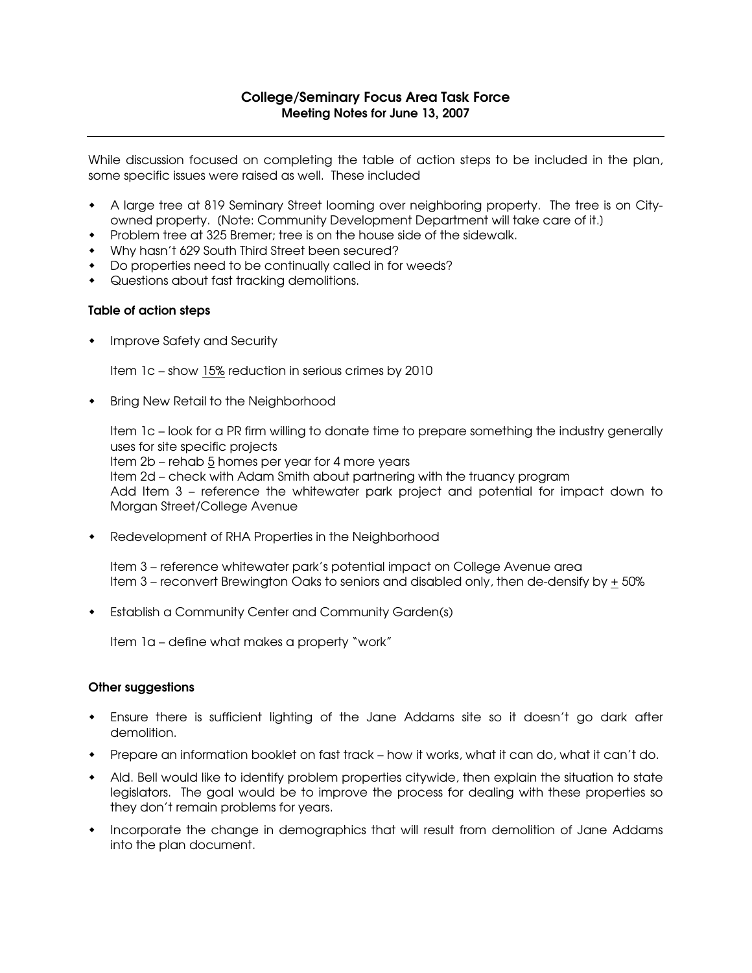While discussion focused on completing the table of action steps to be included in the plan, some specific issues were raised as well. These included

- A large tree at 819 Seminary Street looming over neighboring property. The tree is on Cityowned property. [Note: Community Development Department will take care of it.]
- Problem tree at 325 Bremer; tree is on the house side of the sidewalk.
- Why hasn't 629 South Third Street been secured?
- Do properties need to be continually called in for weeds?
- Questions about fast tracking demolitions.

## Table of action steps

• Improve Safety and Security

Item 1c - show 15% reduction in serious crimes by 2010

• Bring New Retail to the Neighborhood

Item 1c – look for a PR firm willing to donate time to prepare something the industry generally uses for site specific projects Item 2b – rehab 5 homes per year for 4 more years Item 2d – check with Adam Smith about partnering with the truancy program Add Item 3 – reference the whitewater park project and potential for impact down to Morgan Street/College Avenue

Redevelopment of RHA Properties in the Neighborhood

Item 3 – reference whitewater park's potential impact on College Avenue area Item  $3$  – reconvert Brewington Oaks to seniors and disabled only, then de-densify by  $\pm$  50%

Establish a Community Center and Community Garden(s)

Item 1a – define what makes a property "work"

## Other suggestions

- Ensure there is sufficient lighting of the Jane Addams site so it doesn't go dark after demolition.
- Prepare an information booklet on fast track how it works, what it can do, what it can't do.
- Ald. Bell would like to identify problem properties citywide, then explain the situation to state legislators. The goal would be to improve the process for dealing with these properties so they don't remain problems for years.
- Incorporate the change in demographics that will result from demolition of Jane Addams into the plan document.